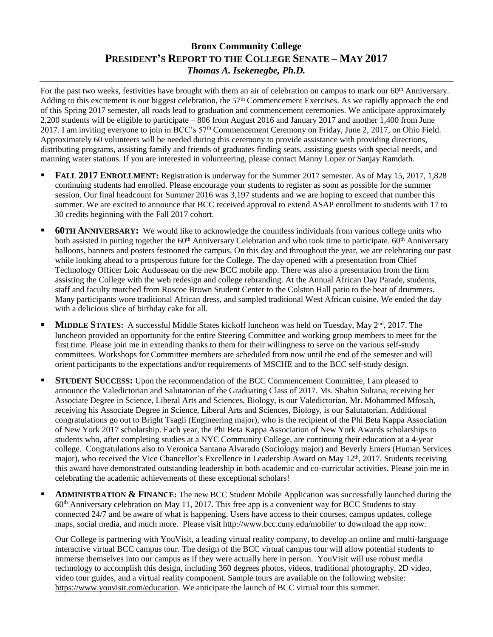## **Bronx Community College PRESIDENT'S REPORT TO THE COLLEGE SENATE – MAY 2017** *Thomas A. Isekenegbe, Ph.D.*

For the past two weeks, festivities have brought with them an air of celebration on campus to mark our 60<sup>th</sup> Anniversary. Adding to this excitement is our biggest celebration, the 57th Commencement Exercises. As we rapidly approach the end of this Spring 2017 semester, all roads lead to graduation and commencement ceremonies. We anticipate approximately 2,200 students will be eligible to participate – 806 from August 2016 and January 2017 and another 1,400 from June 2017. I am inviting everyone to join in BCC's 57<sup>th</sup> Commencement Ceremony on Friday, June 2, 2017, on Ohio Field. Approximately 60 volunteers will be needed during this ceremony to provide assistance with providing directions, distributing programs, assisting family and friends of graduates finding seats, assisting guests with special needs, and manning water stations. If you are interested in volunteering, please contact Manny Lopez or Sanjay Ramdath.

- **FALL 2017 ENROLLMENT:** Registration is underway for the Summer 2017 semester. As of May 15, 2017, 1,828 continuing students had enrolled. Please encourage your students to register as soon as possible for the summer session. Our final headcount for Summer 2016 was 3,197 students and we are hoping to exceed that number this summer. We are excited to announce that BCC received approval to extend ASAP enrollment to students with 17 to 30 credits beginning with the Fall 2017 cohort.
- **60TH ANNIVERSARY:**We would like to acknowledge the countless individuals from various college units who both assisted in putting together the  $60<sup>th</sup>$  Anniversary Celebration and who took time to participate.  $60<sup>th</sup>$  Anniversary balloons, banners and posters festooned the campus. On this day and throughout the year, we are celebrating our past while looking ahead to a prosperous future for the College. The day opened with a presentation from Chief Technology Officer Loic Audusseau on the new BCC mobile app. There was also a presentation from the firm assisting the College with the web redesign and college rebranding. At the Annual African Day Parade, students, staff and faculty marched from Roscoe Brown Student Center to the Colston Hall patio to the beat of drummers. Many participants wore traditional African dress, and sampled traditional West African cuisine. We ended the day with a delicious slice of birthday cake for all.
- **MIDDLE STATES:** A successful Middle States kickoff luncheon was held on Tuesday, May 2<sup>nd</sup>, 2017. The luncheon provided an opportunity for the entire Steering Committee and working group members to meet for the first time. Please join me in extending thanks to them for their willingness to serve on the various self-study committees. Workshops for Committee members are scheduled from now until the end of the semester and will orient participants to the expectations and/or requirements of MSCHE and to the BCC self-study design.
- **STUDENT SUCCESS:** Upon the recommendation of the BCC Commencement Committee, I am pleased to announce the Valedictorian and Salutatorian of the Graduating Class of 2017. Ms. Shahin Sultana, receiving her Associate Degree in Science, Liberal Arts and Sciences, Biology, is our Valedictorian. Mr. Mohammed Mfosah, receiving his Associate Degree in Science, Liberal Arts and Sciences, Biology, is our Salutatorian. Additional congratulations go out to Bright Tsagli (Engineering major), who is the recipient of the Phi Beta Kappa Association of New York 2017 scholarship. Each year, the Phi Beta Kappa Association of New York Awards scholarships to students who, after completing studies at a NYC Community College, are continuing their education at a 4-year college. Congratulations also to Veronica Santana Alvarado (Sociology major) and Beverly Emers (Human Services major), who received the Vice Chancellor's Excellence in Leadership Award on May 12<sup>th</sup>, 2017. Students receiving this award have demonstrated outstanding leadership in both academic and co-curricular activities. Please join me in celebrating the academic achievements of these exceptional scholars!
- **ADMINISTRATION & FINANCE:** The new BCC Student Mobile Application was successfully launched during the 60th Anniversary celebration on May 11, 2017. This free app is a convenient way for BCC Students to stay connected 24/7 and be aware of what is happening. Users have access to their courses, campus updates, college maps, social media, and much more. Please visit<http://www.bcc.cuny.edu/mobile/> to download the app now.

Our College is partnering with YouVisit, a leading virtual reality company, to develop an online and multi-language interactive virtual BCC campus tour. The design of the BCC virtual campus tour will allow potential students to immerse themselves into our campus as if they were actually here in person. YouVisit will use robust media technology to accomplish this design, including 360 degrees photos, videos, traditional photography, 2D video, video tour guides, and a virtual reality component. Sample tours are available on the following website: [https://www.youvisit.com/education.](https://www.youvisit.com/education) We anticipate the launch of BCC virtual tour this summer.